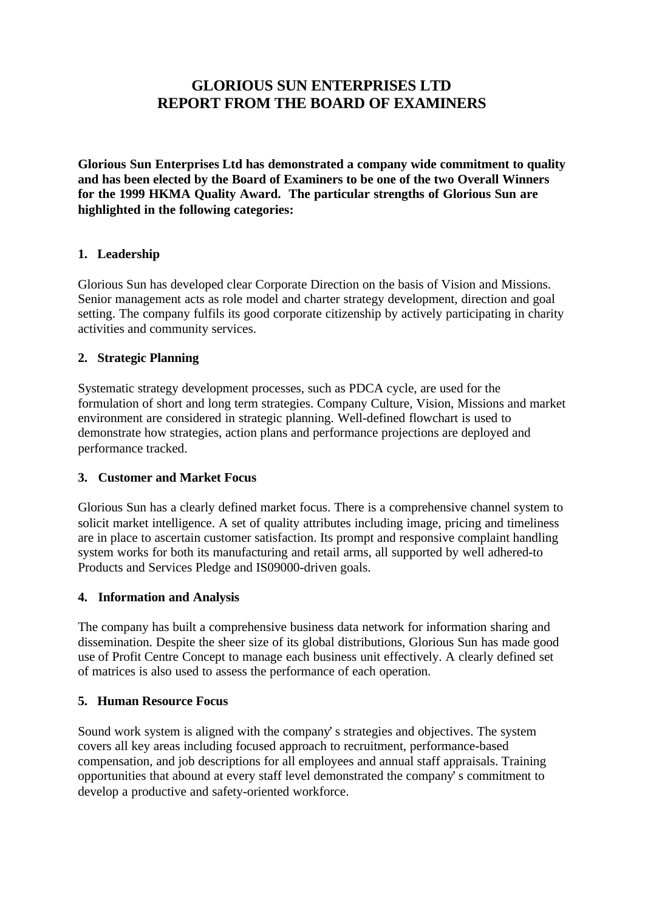# **GLORIOUS SUN ENTERPRISES LTD REPORT FROM THE BOARD OF EXAMINERS**

**Glorious Sun Enterprises Ltd has demonstrated a company wide commitment to quality and has been elected by the Board of Examiners to be one of the two Overall Winners for the 1999 HKMA Quality Award. The particular strengths of Glorious Sun are highlighted in the following categories:**

### **1. Leadership**

Glorious Sun has developed clear Corporate Direction on the basis of Vision and Missions. Senior management acts as role model and charter strategy development, direction and goal setting. The company fulfils its good corporate citizenship by actively participating in charity activities and community services.

## **2. Strategic Planning**

Systematic strategy development processes, such as PDCA cycle, are used for the formulation of short and long term strategies. Company Culture, Vision, Missions and market environment are considered in strategic planning. Well-defined flowchart is used to demonstrate how strategies, action plans and performance projections are deployed and performance tracked.

### **3. Customer and Market Focus**

Glorious Sun has a clearly defined market focus. There is a comprehensive channel system to solicit market intelligence. A set of quality attributes including image, pricing and timeliness are in place to ascertain customer satisfaction. Its prompt and responsive complaint handling system works for both its manufacturing and retail arms, all supported by well adhered-to Products and Services Pledge and IS09000-driven goals.

### **4. Information and Analysis**

The company has built a comprehensive business data network for information sharing and dissemination. Despite the sheer size of its global distributions, Glorious Sun has made good use of Profit Centre Concept to manage each business unit effectively. A clearly defined set of matrices is also used to assess the performance of each operation.

### **5. Human Resource Focus**

Sound work system is aligned with the company's strategies and objectives. The system covers all key areas including focused approach to recruitment, performance-based compensation, and job descriptions for all employees and annual staff appraisals. Training opportunities that abound at every staff level demonstrated the company's commitment to develop a productive and safety-oriented workforce.